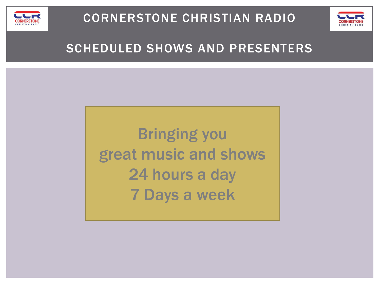



### SCHEDULED SHOWS AND PRESENTERS

Bringing you great music and shows 24 hours a day 7 Days a week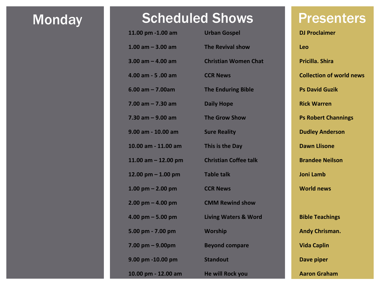# Monday **Scheduled Shows** Presenters

| 11.00 pm -1.00 am     | <b>Urban Gospel</b>             | <b>DJ Proclaimer</b>            |
|-----------------------|---------------------------------|---------------------------------|
| 1.00 am $-$ 3.00 am   | <b>The Revival show</b>         | Leo                             |
| 3.00 am $-$ 4.00 am   | <b>Christian Women Chat</b>     | Pricilla. Shira                 |
| 4.00 am - 5.00 am     | <b>CCR News</b>                 | <b>Collection of world news</b> |
| $6.00$ am $- 7.00$ am | <b>The Enduring Bible</b>       | <b>Ps David Guzik</b>           |
| $7.00$ am $- 7.30$ am | <b>Daily Hope</b>               | <b>Rick Warren</b>              |
| $7.30$ am $-9.00$ am  | <b>The Grow Show</b>            | <b>Ps Robert Channings</b>      |
| 9.00 am - 10.00 am    | <b>Sure Reality</b>             | <b>Dudley Anderson</b>          |
| 10.00 am - 11.00 am   | This is the Day                 | <b>Dawn Llisone</b>             |
| 11.00 am $-$ 12.00 pm | <b>Christian Coffee talk</b>    | <b>Brandee Neilson</b>          |
| 12.00 pm $-$ 1.00 pm  | <b>Table talk</b>               | <b>Joni Lamb</b>                |
| 1.00 pm $-$ 2.00 pm   | <b>CCR News</b>                 | <b>World news</b>               |
| $2.00$ pm $-$ 4.00 pm | <b>CMM Rewind show</b>          |                                 |
| $4.00$ pm $-5.00$ pm  | <b>Living Waters &amp; Word</b> | <b>Bible Teachings</b>          |
| 5.00 pm - 7.00 pm     | <b>Worship</b>                  | <b>Andy Chrisman.</b>           |
| $7.00$ pm $-$ 9.00pm  | <b>Beyond compare</b>           | <b>Vida Caplin</b>              |
| 9.00 pm -10.00 pm     | <b>Standout</b>                 | Dave piper                      |
| 10.00 pm - 12.00 am   | <b>He will Rock you</b>         | <b>Aaron Graham</b>             |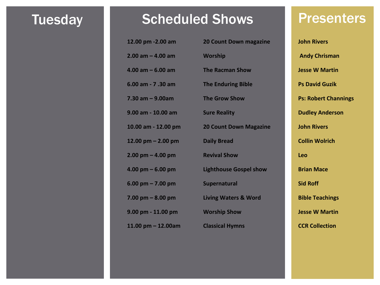# Tuesday **Scheduled Shows** Presenters

| 12.00 pm -2.00 am     | <b>20 Count Down magazine</b>   | <b>John Rivers</b>  |
|-----------------------|---------------------------------|---------------------|
| $2.00$ am $-$ 4.00 am | <b>Worship</b>                  | <b>Andy Christ</b>  |
| $4.00$ am $-6.00$ am  | <b>The Racman Show</b>          | <b>Jesse W Ma</b>   |
| 6.00 am - 7.30 am     | <b>The Enduring Bible</b>       | <b>Ps David Gu</b>  |
| $7.30$ am $- 9.00$ am | <b>The Grow Show</b>            | <b>Ps: Robert C</b> |
| 9.00 am - 10.00 am    | <b>Sure Reality</b>             | <b>Dudley And</b>   |
| 10.00 am - 12.00 pm   | <b>20 Count Down Magazine</b>   | <b>John Rivers</b>  |
| 12.00 pm $-$ 2.00 pm  | <b>Daily Bread</b>              | <b>Collin Wolri</b> |
| $2.00$ pm $-$ 4.00 pm | <b>Revival Show</b>             | Leo                 |
| 4.00 pm $-6.00$ pm    | <b>Lighthouse Gospel show</b>   | <b>Brian Mace</b>   |
| 6.00 pm $- 7.00$ pm   | Supernatural                    | <b>Sid Roff</b>     |
| $7.00$ pm $-8.00$ pm  | <b>Living Waters &amp; Word</b> | <b>Bible Teachi</b> |
| 9.00 pm - 11.00 pm    | <b>Worship Show</b>             | <b>Jesse W Ma</b>   |
| 11.00 pm $-$ 12.00am  | <b>Classical Hymns</b>          | <b>CCR Collecti</b> |
|                       |                                 |                     |

**2.00 am – 4.00 am Worship Andy Chrisman 4.000 Billions 6.00 Ps David Guzik Ps: Robert Channings Dudley Anderson 10.00 am - 12.00 pm 20 Count Down Magazine John Rivers 12.00 pm – 2.00 pm Daily Bread Collin Wolrich 4.00 pm – 6.00 pm Lighthouse Gospel show Brian Mace** *Bible Teachings* **9.000 PM Desse W Martin 12.00 PM CCR Collection**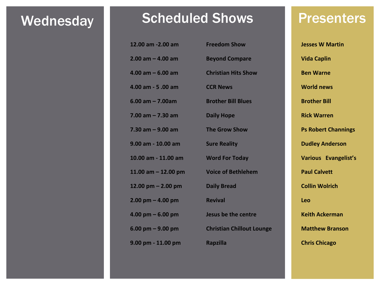# Wednesday Scheduled Shows Presenters

| 12.00 am -2.00 am      | <b>Freedom Show</b>              | <b>Jess</b> |
|------------------------|----------------------------------|-------------|
| $2.00$ am $-$ 4.00 am  | <b>Beyond Compare</b>            | <b>Vid</b>  |
| $4.00$ am $-6.00$ am   | <b>Christian Hits Show</b>       | <b>Ben</b>  |
| 4.00 am - 5 .00 am     | <b>CCR News</b>                  | <b>Wo</b>   |
| $6.00$ am $- 7.00$ am  | <b>Brother Bill Blues</b>        | <b>Bro</b>  |
| $7.00$ am $- 7.30$ am  | <b>Daily Hope</b>                | <b>Ricl</b> |
| 7.30 am – 9.00 am      | <b>The Grow Show</b>             | Ps F        |
| 9.00 am - 10.00 am     | <b>Sure Reality</b>              | <b>Duc</b>  |
| 10.00 am - 11.00 am    | <b>Word For Today</b>            | Var         |
| 11.00 am $-$ 12.00 pm  | <b>Voice of Bethlehem</b>        | Pau         |
| $12.00$ pm $- 2.00$ pm | <b>Daily Bread</b>               | Coll        |
| 2.00 pm - 4.00 pm      | <b>Revival</b>                   | Leo         |
| 4.00 pm – 6.00 pm      | Jesus be the centre              | Keit        |
| $6.00$ pm $-9.00$ pm   | <b>Christian Chillout Lounge</b> | Ma          |
| 9.00 pm - 11.00 pm     | <b>Rapzilla</b>                  | Chr         |

**2.00 am – 4.00 am Beyond Compare Vida Caplin 4.00 am – 6.00 am Christian Hits Show Ben Warne 4.00 am - 5 .00 am CCR News World news 6.00 am – 7.00am Brother Bill Blues Brother Bill 7.00 am – 7.30 am Daily Hope Rick Warren 7.30 am – 9.00 am The Grow Show Ps Robert Channings 9.000 Blue Books American Control Control Control Control Control Control Control Control Control Control Control Control Control Control Control Control Control Control Control Control Control Control Control Control Con 10.00 am - 11.00 am Word For Today Various Evangelist's 11.00 am – 12.00 pm Voice of Bethlehem Paul Calvett 12.00 pm – 2.00 pm Daily Bread Collin Wolrich 4.00 pm – 6.00 pm Jesus be the centre Keith Ackerman 6.000 Pm <b>EDIT Christian Chillout Lounge Matthew Branson 9.00 pm - 11.00 pm Rapzilla Chris Chicago**

**12.00 am -2.00 am -2.000 am -2.000 am -2.000 am -2.000 am -2.000 am -2.000 am -2.000 am -2.000 am -2.000 am -2.000 am -2.000 am -2.000 am -2.000 am -2.000 am -2.000 am -2.000 am -2.000 am -2.000 am -2.000 am -2.000 am -2.**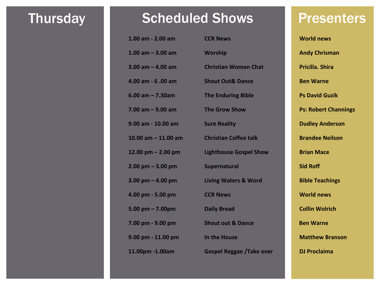### Thursday **Scheduled Shows** Presenters

| 1.00 am - 2.00 am     | <b>CCR News</b>                 | <b>World news</b>           |
|-----------------------|---------------------------------|-----------------------------|
| 1.00 am $-$ 3.00 am   | <b>Worship</b>                  | <b>Andy Chrisman</b>        |
| $3.00$ am $- 4.00$ am | <b>Christian Women Chat</b>     | <b>Pricilla, Shira</b>      |
| 4.00 am - 6 .00 am    | <b>Shout Out&amp; Dance</b>     | <b>Ben Warne</b>            |
| $6.00$ am $- 7.30$ am | <b>The Enduring Bible</b>       | <b>Ps David Guzik</b>       |
| $7.00$ am $-9.00$ am  | <b>The Grow Show</b>            | <b>Ps: Robert Channings</b> |
| 9.00 am - 10.00 am    | <b>Sure Reality</b>             | <b>Dudley Anderson</b>      |
| 10.00 am $-$ 11.00 am | <b>Christian Coffee talk</b>    | <b>Brandee Neilson</b>      |
| 12.00 pm $-$ 2.00 pm  | <b>Lighthouse Gospel Show</b>   | <b>Brian Mace</b>           |
| $2.00$ pm $-3.00$ pm  | Supernatural                    | <b>Sid Roff</b>             |
| 3.00 pm $-$ 4.00 pm   | <b>Living Waters &amp; Word</b> | <b>Bible Teachings</b>      |
| 4.00 pm - 5.00 pm     | <b>CCR News</b>                 | <b>World news</b>           |
| $5.00$ pm $- 7.00$ pm | <b>Daily Bread</b>              | <b>Collin Wolrich</b>       |
| 7.00 pm - 9.00 pm     | <b>Shout out &amp; Dance</b>    | <b>Ben Warne</b>            |
| 9.00 pm - 11.00 pm    | In the House                    | <b>Matthew Branson</b>      |
| 11.00pm -1.00am       | <b>Gospel Reggae /Take over</b> | <b>DJ Proclaima</b>         |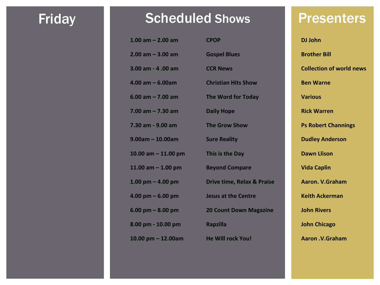# Friday **Scheduled Shows** Presenters

| $1.00$ am $- 2.00$ am               | <b>CPOP</b>                           | <b>DJ John</b>  |
|-------------------------------------|---------------------------------------|-----------------|
| $2.00$ am $-3.00$ am                | <b>Gospel Blues</b>                   | <b>Brother</b>  |
| 3.00 am - 4 .00 am                  | <b>CCR News</b>                       | <b>Collecti</b> |
| 4.00 am - 6.00am                    | <b>Christian Hits Show</b>            | <b>Ben Wa</b>   |
| $6.00$ am $- 7.00$ am               | The Word for Today                    | <b>Various</b>  |
| $7.00$ am $- 7.30$ am               | <b>Daily Hope</b>                     | <b>Rick Wa</b>  |
| 7.30 am - 9.00 am                   | <b>The Grow Show</b>                  | <b>Ps Robe</b>  |
| $9.00$ am – 10.00am                 | <b>Sure Reality</b>                   | <b>Dudley</b>   |
| 10.00 am - 11.00 pm                 | This is the Day                       | Dawn L          |
| 11.00 am $-$ 1.00 pm                | <b>Beyond Compare</b>                 | <b>Vida Ca</b>  |
| $1.00 \text{ pm} - 4.00 \text{ pm}$ | <b>Drive time, Relax &amp; Praise</b> | Aaron.          |
| 4.00 pm – 6.00 pm                   | <b>Jesus at the Centre</b>            | Keith A         |
| $6.00 \text{ pm} - 8.00 \text{ pm}$ | <b>20 Count Down Magazine</b>         | <b>John Riv</b> |
| 8.00 pm - 10.00 pm                  | <b>Rapzilla</b>                       | <b>John Ch</b>  |
| 10.00 pm – 12.00am                  | <b>He Will rock You!</b>              | Aaron.          |

**2.00 am – 3.00 am Gospel Blues Brother Bill 3.00 am - 4 .00 am CCR News Collection of world news 4.00 am – 6.00am Christian Hits Show Ben Warne 7.00 am – 7.30 am Daily Hope Rick Warren Ps Robert Channings Dudley Anderson 10.00 am – 11.00 pm This is the Day Dawn Llison 11.00 am – 1.00 pm Beyond Compare Vida Caplin 1.00 pm – 4.00 pm Drive time, Relax & Praise Aaron. V.Graham Keith Ackerman 6.00 pm – 8.00 pm 20 Count Down Magazine John Rivers 8.000 pm** Chicago **10.00 pm – 12.00am He Will rock You! Aaron .V.Graham**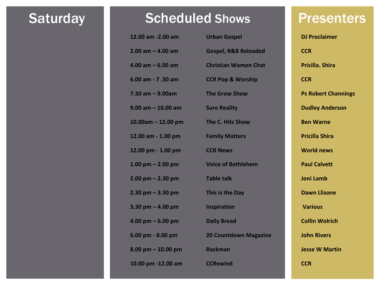### Saturday Scheduled Shows Presenters

| 12.00 am -2.00 am                   | <b>Urban Gospel</b>             | <b>DJ Procla</b>  |
|-------------------------------------|---------------------------------|-------------------|
| $2.00$ am $-$ 4.00 am               | <b>Gospel, R&amp;B Reloaded</b> | <b>CCR</b>        |
| $4.00$ am $-6.00$ am                | <b>Christian Women Chat</b>     | Pricilla.         |
| 6.00 am - 7 .30 am                  | <b>CCR Pop &amp; Worship</b>    | <b>CCR</b>        |
| 7.30 am - 9.00am                    | <b>The Grow Show</b>            | <b>Ps Robe</b>    |
| $9.00$ am $-10.00$ am               | <b>Sure Reality</b>             | Dudley /          |
| $10.00$ am - 12.00 pm               | The C. Hits Show                | <b>Ben War</b>    |
| 12.00 am - 1.00 pm                  | <b>Family Matters</b>           | <b>Pricilla S</b> |
| 12.00 pm - 1.00 pm                  | <b>CCR News</b>                 | World n           |
| $1.00$ pm $- 2.00$ pm               | <b>Voice of Bethlehem</b>       | <b>Paul Cal</b>   |
| $2.00$ pm $- 2.30$ pm               | <b>Table talk</b>               | <b>Joni Lam</b>   |
| $2.30$ pm $-3.30$ pm                | This is the Day                 | <b>Dawn Ll</b>    |
| $3.30$ pm $-$ 4.00 pm               | <b>Inspiration</b>              | <b>Various</b>    |
| $4.00 \text{ pm} - 6.00 \text{ pm}$ | <b>Daily Bread</b>              | <b>Collin W</b>   |
| 6.00 pm - 8.00 pm                   | <b>20 Countdown Magazine</b>    | <b>John Riv</b>   |
| $8.00$ pm $-10.00$ pm               | <b>Rackman</b>                  | <b>Jesse W</b>    |
| 10.00 pm -12.00 am                  | <b>CCRewind</b>                 | <b>CCR</b>        |

**12.00 BJ** Proclaimer **4.00 am – 6.00 am Christian Women Chat Pricilla. Shira Ps Robert Channings 9.00 am – 10.00 am Sure Reality Dudley Anderson 10.000 Ben Warne 12.00 am - 1.00 pm Family Matters Pricilla Shira World news 1.00 pm – 2.00 pm Voice of Bethlehem Paul Calvett 2.00 pm – 2.30 pm Table talk Joni Lamb 2.30 pm – 3.30 pm This is the Day Dawn Llisone 4.00 pm – 6.00 pm Daily Bread Collin Wolrich 6.000 PM** PM Bishop Magazine **Jesse W Martin**